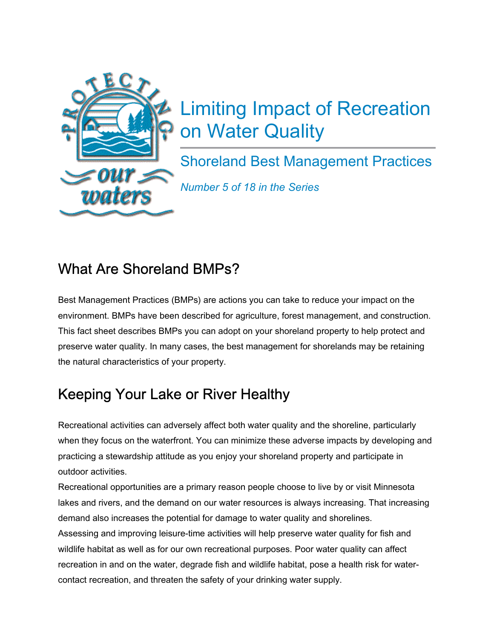

# Limiting Impact of Recreation on Water Quality

Shoreland Best Management Practices

*Number 5 of 18 in the Series*

#### What Are Shoreland BMPs?

Best Management Practices (BMPs) are actions you can take to reduce your impact on the environment. BMPs have been described for agriculture, forest management, and construction. This fact sheet describes BMPs you can adopt on your shoreland property to help protect and preserve water quality. In many cases, the best management for shorelands may be retaining the natural characteristics of your property.

## Keeping Your Lake or River Healthy

Recreational activities can adversely affect both water quality and the shoreline, particularly when they focus on the waterfront. You can minimize these adverse impacts by developing and practicing a stewardship attitude as you enjoy your shoreland property and participate in outdoor activities.

Recreational opportunities are a primary reason people choose to live by or visit Minnesota lakes and rivers, and the demand on our water resources is always increasing. That increasing demand also increases the potential for damage to water quality and shorelines. Assessing and improving leisure-time activities will help preserve water quality for fish and wildlife habitat as well as for our own recreational purposes. Poor water quality can affect recreation in and on the water, degrade fish and wildlife habitat, pose a health risk for watercontact recreation, and threaten the safety of your drinking water supply.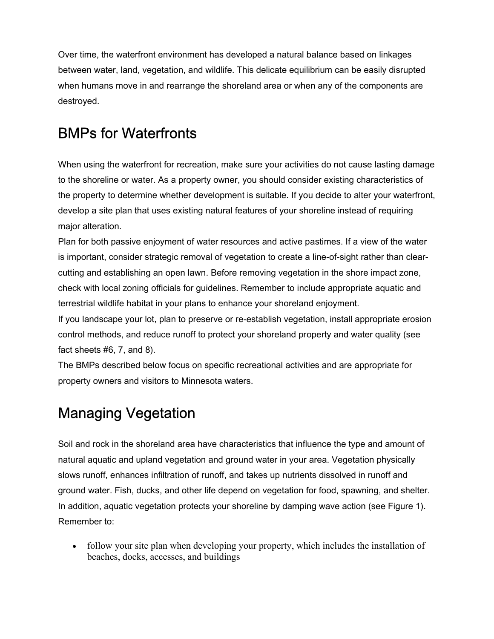Over time, the waterfront environment has developed a natural balance based on linkages between water, land, vegetation, and wildlife. This delicate equilibrium can be easily disrupted when humans move in and rearrange the shoreland area or when any of the components are destroyed.

#### BMPs for Waterfronts

When using the waterfront for recreation, make sure your activities do not cause lasting damage to the shoreline or water. As a property owner, you should consider existing characteristics of the property to determine whether development is suitable. If you decide to alter your waterfront, develop a site plan that uses existing natural features of your shoreline instead of requiring major alteration.

Plan for both passive enjoyment of water resources and active pastimes. If a view of the water is important, consider strategic removal of vegetation to create a line-of-sight rather than clearcutting and establishing an open lawn. Before removing vegetation in the shore impact zone, check with local zoning officials for guidelines. Remember to include appropriate aquatic and terrestrial wildlife habitat in your plans to enhance your shoreland enjoyment.

If you landscape your lot, plan to preserve or re-establish vegetation, install appropriate erosion control methods, and reduce runoff to protect your shoreland property and water quality (see fact sheets #6, 7, and 8).

The BMPs described below focus on specific recreational activities and are appropriate for property owners and visitors to Minnesota waters.

### Managing Vegetation

Soil and rock in the shoreland area have characteristics that influence the type and amount of natural aquatic and upland vegetation and ground water in your area. Vegetation physically slows runoff, enhances infiltration of runoff, and takes up nutrients dissolved in runoff and ground water. Fish, ducks, and other life depend on vegetation for food, spawning, and shelter. In addition, aquatic vegetation protects your shoreline by damping wave action (see Figure 1). Remember to:

• follow your site plan when developing your property, which includes the installation of beaches, docks, accesses, and buildings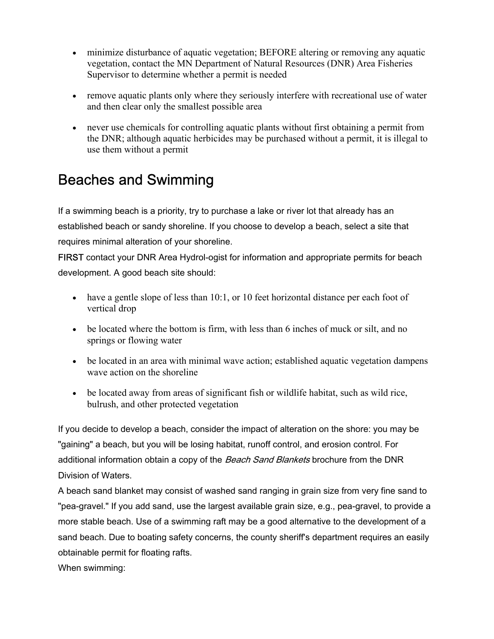- minimize disturbance of aquatic vegetation; BEFORE altering or removing any aquatic vegetation, contact the MN Department of Natural Resources (DNR) Area Fisheries Supervisor to determine whether a permit is needed
- remove aquatic plants only where they seriously interfere with recreational use of water and then clear only the smallest possible area
- never use chemicals for controlling aquatic plants without first obtaining a permit from the DNR; although aquatic herbicides may be purchased without a permit, it is illegal to use them without a permit

#### Beaches and Swimming

If a swimming beach is a priority, try to purchase a lake or river lot that already has an established beach or sandy shoreline. If you choose to develop a beach, select a site that requires minimal alteration of your shoreline.

FIRST contact your DNR Area Hydrol-ogist for information and appropriate permits for beach development. A good beach site should:

- have a gentle slope of less than 10:1, or 10 feet horizontal distance per each foot of vertical drop
- be located where the bottom is firm, with less than 6 inches of muck or silt, and no springs or flowing water
- be located in an area with minimal wave action; established aquatic vegetation dampens wave action on the shoreline
- be located away from areas of significant fish or wildlife habitat, such as wild rice, bulrush, and other protected vegetation

If you decide to develop a beach, consider the impact of alteration on the shore: you may be "gaining" a beach, but you will be losing habitat, runoff control, and erosion control. For additional information obtain a copy of the Beach Sand Blankets brochure from the DNR Division of Waters.

A beach sand blanket may consist of washed sand ranging in grain size from very fine sand to "pea-gravel." If you add sand, use the largest available grain size, e.g., pea-gravel, to provide a more stable beach. Use of a swimming raft may be a good alternative to the development of a sand beach. Due to boating safety concerns, the county sheriff's department requires an easily obtainable permit for floating rafts.

When swimming: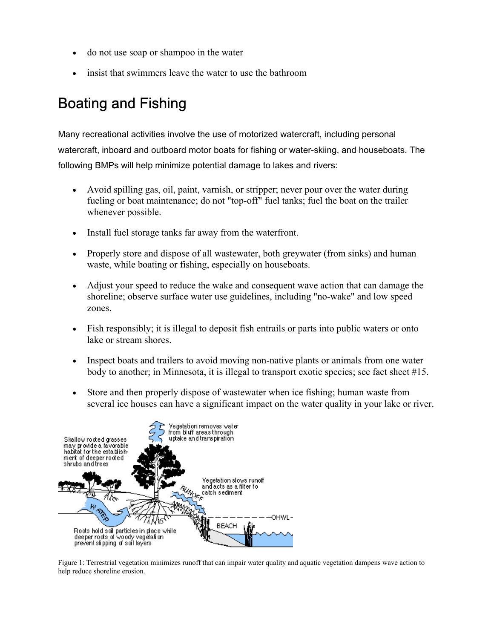- do not use soap or shampoo in the water
- insist that swimmers leave the water to use the bathroom

### Boating and Fishing

Many recreational activities involve the use of motorized watercraft, including personal watercraft, inboard and outboard motor boats for fishing or water-skiing, and houseboats. The following BMPs will help minimize potential damage to lakes and rivers:

- Avoid spilling gas, oil, paint, varnish, or stripper; never pour over the water during fueling or boat maintenance; do not "top-off" fuel tanks; fuel the boat on the trailer whenever possible.
- Install fuel storage tanks far away from the waterfront.
- Properly store and dispose of all wastewater, both greywater (from sinks) and human waste, while boating or fishing, especially on houseboats.
- Adjust your speed to reduce the wake and consequent wave action that can damage the shoreline; observe surface water use guidelines, including "no-wake" and low speed zones.
- Fish responsibly; it is illegal to deposit fish entrails or parts into public waters or onto lake or stream shores.
- Inspect boats and trailers to avoid moving non-native plants or animals from one water body to another; in Minnesota, it is illegal to transport exotic species; see fact sheet #15.
- Store and then properly dispose of wastewater when ice fishing; human waste from several ice houses can have a significant impact on the water quality in your lake or river.



Figure 1: Terrestrial vegetation minimizes runoff that can impair water quality and aquatic vegetation dampens wave action to help reduce shoreline erosion.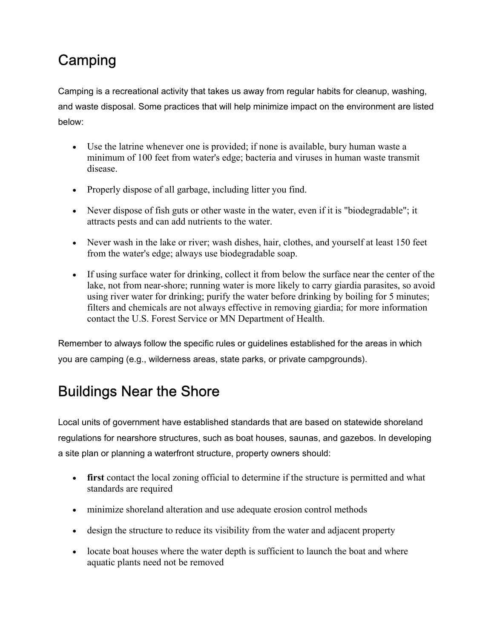### **Camping**

Camping is a recreational activity that takes us away from regular habits for cleanup, washing, and waste disposal. Some practices that will help minimize impact on the environment are listed below:

- Use the latrine whenever one is provided; if none is available, bury human waste a minimum of 100 feet from water's edge; bacteria and viruses in human waste transmit disease.
- Properly dispose of all garbage, including litter you find.
- Never dispose of fish guts or other waste in the water, even if it is "biodegradable"; it attracts pests and can add nutrients to the water.
- Never wash in the lake or river; wash dishes, hair, clothes, and yourself at least 150 feet from the water's edge; always use biodegradable soap.
- If using surface water for drinking, collect it from below the surface near the center of the lake, not from near-shore; running water is more likely to carry giardia parasites, so avoid using river water for drinking; purify the water before drinking by boiling for 5 minutes; filters and chemicals are not always effective in removing giardia; for more information contact the U.S. Forest Service or MN Department of Health.

Remember to always follow the specific rules or guidelines established for the areas in which you are camping (e.g., wilderness areas, state parks, or private campgrounds).

### Buildings Near the Shore

Local units of government have established standards that are based on statewide shoreland regulations for nearshore structures, such as boat houses, saunas, and gazebos. In developing a site plan or planning a waterfront structure, property owners should:

- **first** contact the local zoning official to determine if the structure is permitted and what standards are required
- minimize shoreland alteration and use adequate erosion control methods
- design the structure to reduce its visibility from the water and adjacent property
- locate boat houses where the water depth is sufficient to launch the boat and where aquatic plants need not be removed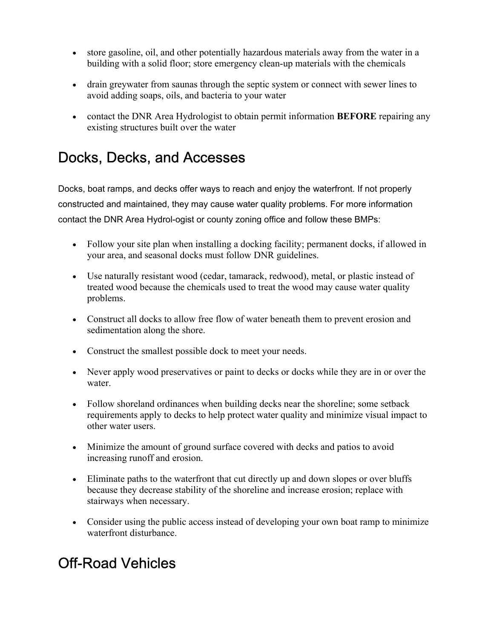- store gasoline, oil, and other potentially hazardous materials away from the water in a building with a solid floor; store emergency clean-up materials with the chemicals
- drain greywater from saunas through the septic system or connect with sewer lines to avoid adding soaps, oils, and bacteria to your water
- contact the DNR Area Hydrologist to obtain permit information **BEFORE** repairing any existing structures built over the water

#### Docks, Decks, and Accesses

Docks, boat ramps, and decks offer ways to reach and enjoy the waterfront. If not properly constructed and maintained, they may cause water quality problems. For more information contact the DNR Area Hydrol-ogist or county zoning office and follow these BMPs:

- Follow your site plan when installing a docking facility; permanent docks, if allowed in your area, and seasonal docks must follow DNR guidelines.
- Use naturally resistant wood (cedar, tamarack, redwood), metal, or plastic instead of treated wood because the chemicals used to treat the wood may cause water quality problems.
- Construct all docks to allow free flow of water beneath them to prevent erosion and sedimentation along the shore.
- Construct the smallest possible dock to meet your needs.
- Never apply wood preservatives or paint to decks or docks while they are in or over the water.
- Follow shoreland ordinances when building decks near the shoreline; some setback requirements apply to decks to help protect water quality and minimize visual impact to other water users.
- Minimize the amount of ground surface covered with decks and patios to avoid increasing runoff and erosion.
- Eliminate paths to the waterfront that cut directly up and down slopes or over bluffs because they decrease stability of the shoreline and increase erosion; replace with stairways when necessary.
- Consider using the public access instead of developing your own boat ramp to minimize waterfront disturbance.

#### Off-Road Vehicles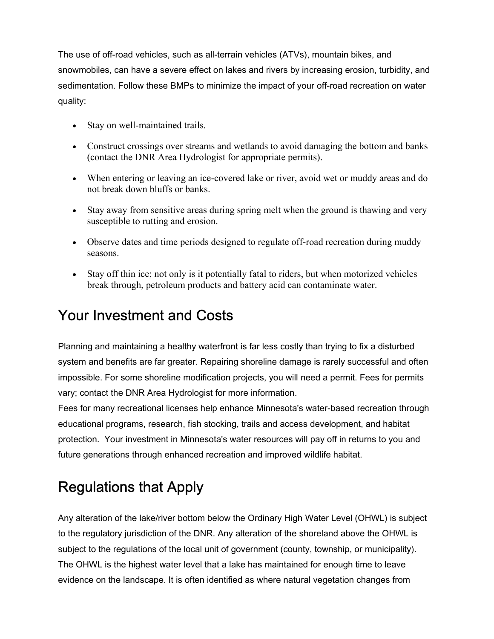The use of off-road vehicles, such as all-terrain vehicles (ATVs), mountain bikes, and snowmobiles, can have a severe effect on lakes and rivers by increasing erosion, turbidity, and sedimentation. Follow these BMPs to minimize the impact of your off-road recreation on water quality:

- Stay on well-maintained trails.
- Construct crossings over streams and wetlands to avoid damaging the bottom and banks (contact the DNR Area Hydrologist for appropriate permits).
- When entering or leaving an ice-covered lake or river, avoid wet or muddy areas and do not break down bluffs or banks.
- Stay away from sensitive areas during spring melt when the ground is thawing and very susceptible to rutting and erosion.
- Observe dates and time periods designed to regulate off-road recreation during muddy seasons.
- Stay off thin ice; not only is it potentially fatal to riders, but when motorized vehicles break through, petroleum products and battery acid can contaminate water.

#### Your Investment and Costs

Planning and maintaining a healthy waterfront is far less costly than trying to fix a disturbed system and benefits are far greater. Repairing shoreline damage is rarely successful and often impossible. For some shoreline modification projects, you will need a permit. Fees for permits vary; contact the DNR Area Hydrologist for more information.

Fees for many recreational licenses help enhance Minnesota's water-based recreation through educational programs, research, fish stocking, trails and access development, and habitat protection. Your investment in Minnesota's water resources will pay off in returns to you and future generations through enhanced recreation and improved wildlife habitat.

## Regulations that Apply

Any alteration of the lake/river bottom below the Ordinary High Water Level (OHWL) is subject to the regulatory jurisdiction of the DNR. Any alteration of the shoreland above the OHWL is subject to the regulations of the local unit of government (county, township, or municipality). The OHWL is the highest water level that a lake has maintained for enough time to leave evidence on the landscape. It is often identified as where natural vegetation changes from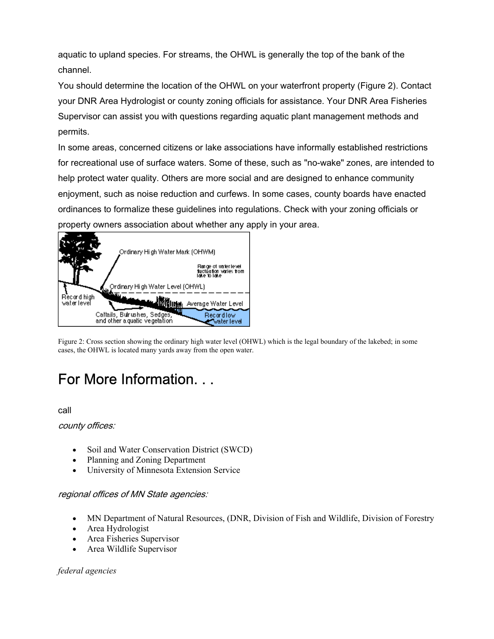aquatic to upland species. For streams, the OHWL is generally the top of the bank of the channel.

You should determine the location of the OHWL on your waterfront property (Figure 2). Contact your DNR Area Hydrologist or county zoning officials for assistance. Your DNR Area Fisheries Supervisor can assist you with questions regarding aquatic plant management methods and permits.

In some areas, concerned citizens or lake associations have informally established restrictions for recreational use of surface waters. Some of these, such as "no-wake" zones, are intended to help protect water quality. Others are more social and are designed to enhance community enjoyment, such as noise reduction and curfews. In some cases, county boards have enacted ordinances to formalize these guidelines into regulations. Check with your zoning officials or property owners association about whether any apply in your area.



Figure 2: Cross section showing the ordinary high water level (OHWL) which is the legal boundary of the lakebed; in some cases, the OHWL is located many yards away from the open water.

#### For More Information. . .

call

county offices:

- Soil and Water Conservation District (SWCD)
- Planning and Zoning Department
- University of Minnesota Extension Service

#### regional offices of MN State agencies:

- MN Department of Natural Resources, (DNR, Division of Fish and Wildlife, Division of Forestry
- Area Hydrologist
- Area Fisheries Supervisor
- Area Wildlife Supervisor

*federal agencies*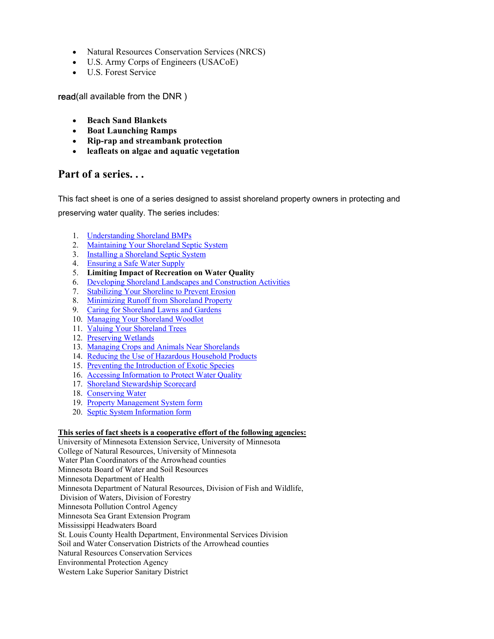- Natural Resources Conservation Services (NRCS)
- U.S. Army Corps of Engineers (USACoE)
- U.S. Forest Service

read(all available from the DNR )

- **Beach Sand Blankets**
- **Boat Launching Ramps**
- **Rip-rap and streambank protection**
- **leafleats on algae and aquatic vegetation**

#### **Part of a series. . .**

This fact sheet is one of a series designed to assist shoreland property owners in protecting and preserving water quality. The series includes:

- 1. Understanding Shoreland BMPs
- 2. Maintaining Your Shoreland Septic System
- 3. Installing a Shoreland Septic System
- 4. Ensuring a Safe Water Supply
- 5. **Limiting Impact of Recreation on Water Quality**
- 6. Developing Shoreland Landscapes and Construction Activities
- 7. Stabilizing Your Shoreline to Prevent Erosion
- 8. Minimizing Runoff from Shoreland Property
- 9. Caring for Shoreland Lawns and Gardens
- 10. Managing Your Shoreland Woodlot
- 11. Valuing Your Shoreland Trees
- 12. Preserving Wetlands
- 13. Managing Crops and Animals Near Shorelands
- 14. Reducing the Use of Hazardous Household Products
- 15. Preventing the Introduction of Exotic Species
- 16. Accessing Information to Protect Water Quality
- 17. Shoreland Stewardship Scorecard
- 18. Conserving Water
- 19. Property Management System form
- 20. Septic System Information form

#### **This series of fact sheets is a cooperative effort of the following agencies:**

University of Minnesota Extension Service, University of Minnesota College of Natural Resources, University of Minnesota Water Plan Coordinators of the Arrowhead counties Minnesota Board of Water and Soil Resources Minnesota Department of Health Minnesota Department of Natural Resources, Division of Fish and Wildlife, Division of Waters, Division of Forestry Minnesota Pollution Control Agency Minnesota Sea Grant Extension Program Mississippi Headwaters Board St. Louis County Health Department, Environmental Services Division Soil and Water Conservation Districts of the Arrowhead counties Natural Resources Conservation Services Environmental Protection Agency Western Lake Superior Sanitary District